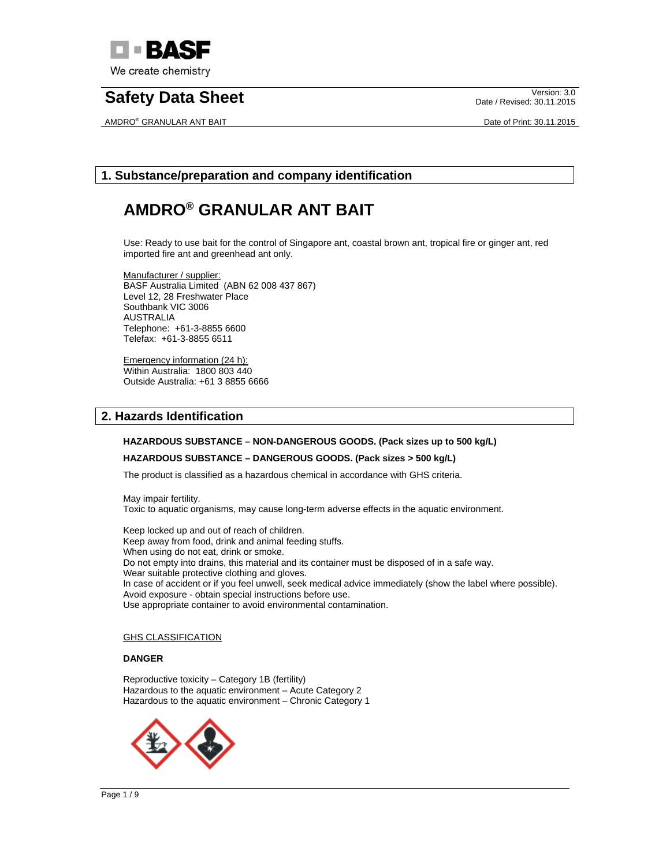

AMDRO® GRANULAR ANT BAIT **Date of Print: 30.11.2015** 

Date / Revised: 30.11.2015

# **1. Substance/preparation and company identification**

# **AMDRO® GRANULAR ANT BAIT**

Use: Ready to use bait for the control of Singapore ant, coastal brown ant, tropical fire or ginger ant, red imported fire ant and greenhead ant only.

Manufacturer / supplier: BASF Australia Limited (ABN 62 008 437 867) Level 12, 28 Freshwater Place Southbank VIC 3006 AUSTRALIA Telephone: +61-3-8855 6600 Telefax: +61-3-8855 6511

Emergency information (24 h): Within Australia: 1800 803 440 Outside Australia: +61 3 8855 6666

# **2. Hazards Identification**

## **HAZARDOUS SUBSTANCE – NON-DANGEROUS GOODS. (Pack sizes up to 500 kg/L)**

#### **HAZARDOUS SUBSTANCE – DANGEROUS GOODS. (Pack sizes > 500 kg/L)**

The product is classified as a hazardous chemical in accordance with GHS criteria.

May impair fertility. Toxic to aquatic organisms, may cause long-term adverse effects in the aquatic environment.

Keep locked up and out of reach of children. Keep away from food, drink and animal feeding stuffs. When using do not eat, drink or smoke. Do not empty into drains, this material and its container must be disposed of in a safe way. Wear suitable protective clothing and gloves. In case of accident or if you feel unwell, seek medical advice immediately (show the label where possible). Avoid exposure - obtain special instructions before use. Use appropriate container to avoid environmental contamination.

#### **GHS CLASSIFICATION**

#### **DANGER**

Reproductive toxicity – Category 1B (fertility) Hazardous to the aquatic environment – Acute Category 2 Hazardous to the aquatic environment – Chronic Category 1

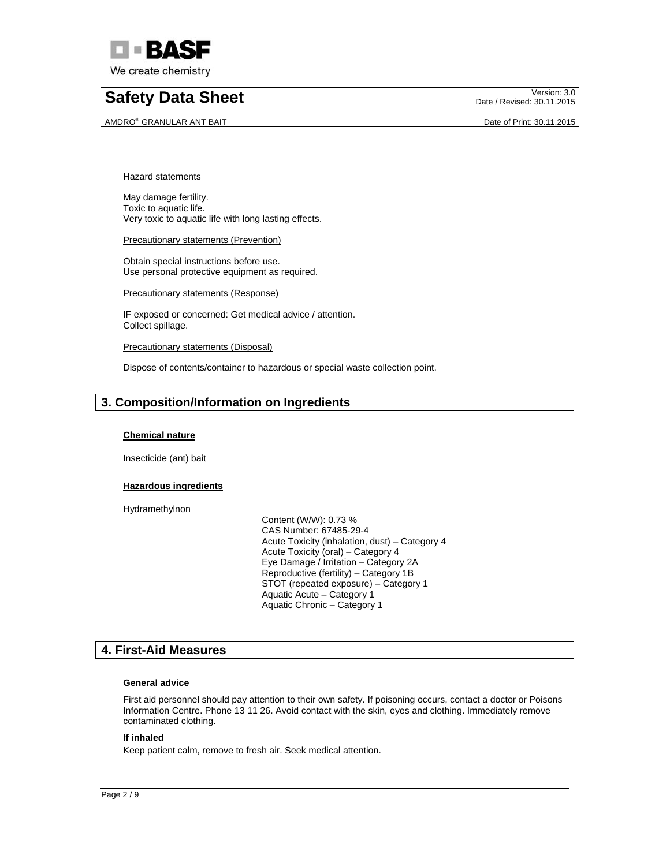

AMDRO® GRANULAR ANT BAIT **Date of Print: 30.11.2015** 

Date / Revised: 30.11.2015

Hazard statements

May damage fertility. Toxic to aquatic life. Very toxic to aquatic life with long lasting effects.

**Precautionary statements (Prevention)** 

Obtain special instructions before use. Use personal protective equipment as required.

Precautionary statements (Response)

IF exposed or concerned: Get medical advice / attention. Collect spillage.

Precautionary statements (Disposal)

Dispose of contents/container to hazardous or special waste collection point.

## **3. Composition/Information on Ingredients**

#### **Chemical nature**

Insecticide (ant) bait

#### **Hazardous ingredients**

Hydramethylnon

 Content (W/W): 0.73 % CAS Number: 67485-29-4 Acute Toxicity (inhalation, dust) – Category 4 Acute Toxicity (oral) – Category 4 Eye Damage / Irritation – Category 2A Reproductive (fertility) – Category 1B STOT (repeated exposure) – Category 1 Aquatic Acute – Category 1 Aquatic Chronic – Category 1

## **4. First-Aid Measures**

#### **General advice**

First aid personnel should pay attention to their own safety. If poisoning occurs, contact a doctor or Poisons Information Centre. Phone 13 11 26. Avoid contact with the skin, eyes and clothing. Immediately remove contaminated clothing.

#### **If inhaled**

Keep patient calm, remove to fresh air. Seek medical attention.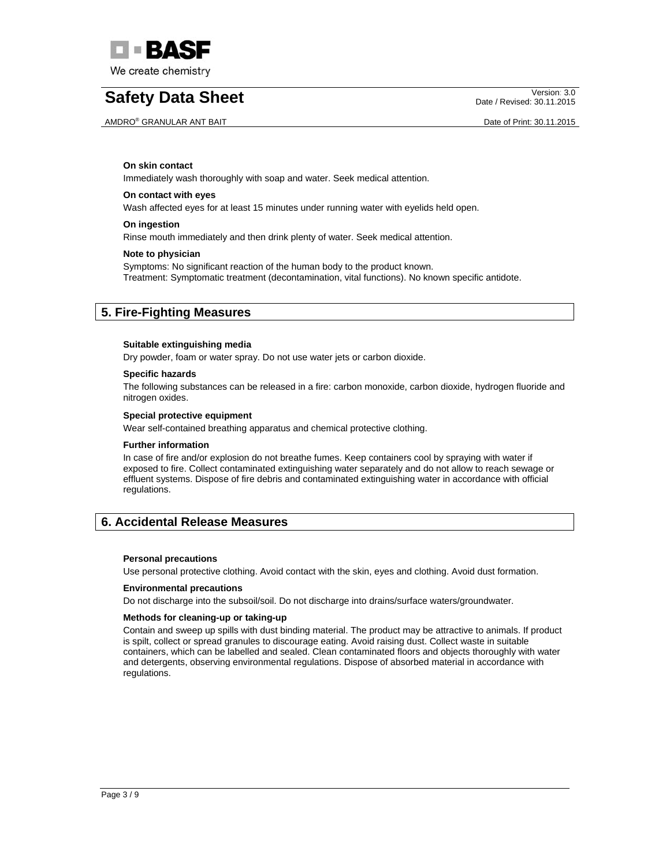

AMDRO® GRANULAR ANT BAIT DATE OF PRINTING AND A SAME OF PRINCIPAL AND DATE OF PRINT: 30.11.2015

Date / Revised: 30.11.2015

### **On skin contact**

Immediately wash thoroughly with soap and water. Seek medical attention.

#### **On contact with eyes**

Wash affected eyes for at least 15 minutes under running water with eyelids held open.

#### **On ingestion**

Rinse mouth immediately and then drink plenty of water. Seek medical attention.

#### **Note to physician**

Symptoms: No significant reaction of the human body to the product known. Treatment: Symptomatic treatment (decontamination, vital functions). No known specific antidote.

## **5. Fire-Fighting Measures**

#### **Suitable extinguishing media**

Dry powder, foam or water spray. Do not use water jets or carbon dioxide.

#### **Specific hazards**

The following substances can be released in a fire: carbon monoxide, carbon dioxide, hydrogen fluoride and nitrogen oxides.

#### **Special protective equipment**

Wear self-contained breathing apparatus and chemical protective clothing.

#### **Further information**

In case of fire and/or explosion do not breathe fumes. Keep containers cool by spraying with water if exposed to fire. Collect contaminated extinguishing water separately and do not allow to reach sewage or effluent systems. Dispose of fire debris and contaminated extinguishing water in accordance with official regulations.

## **6. Accidental Release Measures**

#### **Personal precautions**

Use personal protective clothing. Avoid contact with the skin, eyes and clothing. Avoid dust formation.

#### **Environmental precautions**

Do not discharge into the subsoil/soil. Do not discharge into drains/surface waters/groundwater.

#### **Methods for cleaning-up or taking-up**

Contain and sweep up spills with dust binding material. The product may be attractive to animals. If product is spilt, collect or spread granules to discourage eating. Avoid raising dust. Collect waste in suitable containers, which can be labelled and sealed. Clean contaminated floors and objects thoroughly with water and detergents, observing environmental regulations. Dispose of absorbed material in accordance with regulations.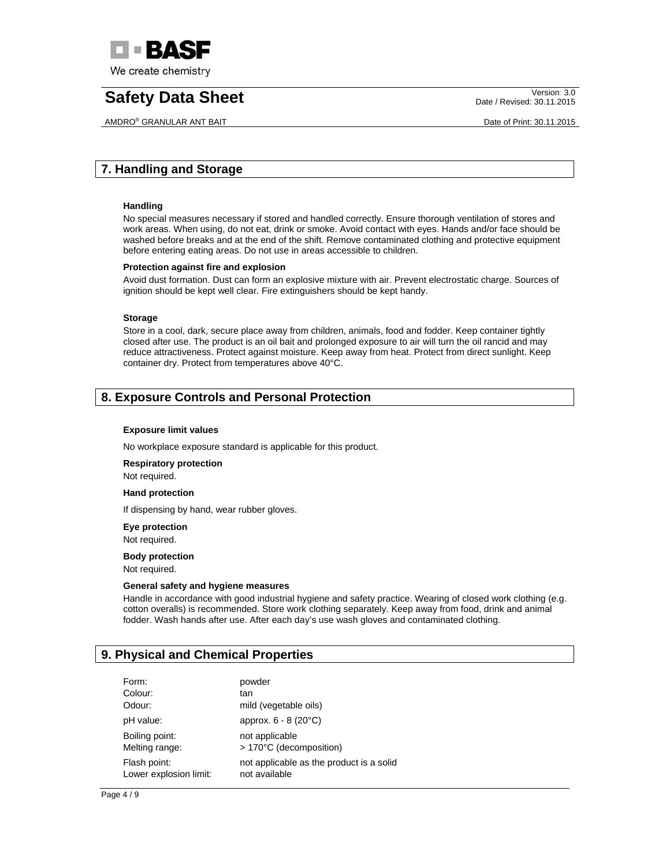

AMDRO® GRANULAR ANT BAIT **Date of Print: 30.11.2015** 

Date / Revised: 30.11.2015

# **7. Handling and Storage**

### **Handling**

No special measures necessary if stored and handled correctly. Ensure thorough ventilation of stores and work areas. When using, do not eat, drink or smoke. Avoid contact with eyes. Hands and/or face should be washed before breaks and at the end of the shift. Remove contaminated clothing and protective equipment before entering eating areas. Do not use in areas accessible to children.

## **Protection against fire and explosion**

Avoid dust formation. Dust can form an explosive mixture with air. Prevent electrostatic charge. Sources of ignition should be kept well clear. Fire extinguishers should be kept handy.

#### **Storage**

Store in a cool, dark, secure place away from children, animals, food and fodder. Keep container tightly closed after use. The product is an oil bait and prolonged exposure to air will turn the oil rancid and may reduce attractiveness. Protect against moisture. Keep away from heat. Protect from direct sunlight. Keep container dry. Protect from temperatures above 40°C.

# **8. Exposure Controls and Personal Protection**

#### **Exposure limit values**

No workplace exposure standard is applicable for this product.

**Respiratory protection** 

Not required.

#### **Hand protection**

If dispensing by hand, wear rubber gloves.

**Eye protection** 

Not required.

#### **Body protection**

Not required.

#### **General safety and hygiene measures**

Handle in accordance with good industrial hygiene and safety practice. Wearing of closed work clothing (e.g. cotton overalls) is recommended. Store work clothing separately. Keep away from food, drink and animal fodder. Wash hands after use. After each day's use wash gloves and contaminated clothing.

## **9. Physical and Chemical Properties**

| Form:                                  | powder                                                    |
|----------------------------------------|-----------------------------------------------------------|
| Colour:                                | tan                                                       |
| Odour:                                 | mild (vegetable oils)                                     |
| pH value:                              | approx. 6 - 8 (20°C)                                      |
| Boiling point:                         | not applicable                                            |
| Melting range:                         | > 170°C (decomposition)                                   |
| Flash point:<br>Lower explosion limit: | not applicable as the product is a solid<br>not available |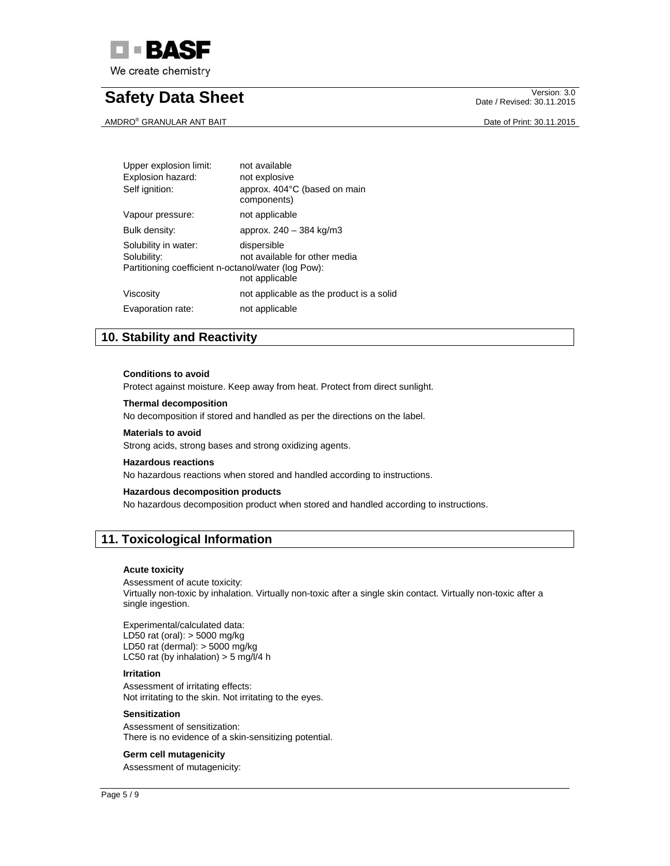

AMDRO® GRANULAR ANT BAIT **Date of Print: 30.11.2015** 

Date / Revised: 30.11.2015

| Upper explosion limit:<br>Explosion hazard:<br>Self ignition:                              | not available<br>not explosive<br>approx. 404°C (based on main<br>components) |
|--------------------------------------------------------------------------------------------|-------------------------------------------------------------------------------|
| Vapour pressure:                                                                           | not applicable                                                                |
| Bulk density:                                                                              | approx. 240 - 384 kg/m3                                                       |
| Solubility in water:<br>Solubility:<br>Partitioning coefficient n-octanol/water (log Pow): | dispersible<br>not available for other media<br>not applicable                |
| Viscosity                                                                                  | not applicable as the product is a solid                                      |
| Evaporation rate:                                                                          | not applicable                                                                |

# **10. Stability and Reactivity**

#### **Conditions to avoid**

Protect against moisture. Keep away from heat. Protect from direct sunlight.

#### **Thermal decomposition**

No decomposition if stored and handled as per the directions on the label.

### **Materials to avoid**

Strong acids, strong bases and strong oxidizing agents.

### **Hazardous reactions**

No hazardous reactions when stored and handled according to instructions.

#### **Hazardous decomposition products**

No hazardous decomposition product when stored and handled according to instructions.

## **11. Toxicological Information**

#### **Acute toxicity**

Assessment of acute toxicity: Virtually non-toxic by inhalation. Virtually non-toxic after a single skin contact. Virtually non-toxic after a single ingestion.

Experimental/calculated data: LD50 rat (oral): > 5000 mg/kg LD50 rat (dermal): > 5000 mg/kg LC50 rat (by inhalation)  $>$  5 mg/l/4 h

#### **Irritation**

Assessment of irritating effects: Not irritating to the skin. Not irritating to the eyes.

#### **Sensitization**

Assessment of sensitization: There is no evidence of a skin-sensitizing potential.

### **Germ cell mutagenicity**

Assessment of mutagenicity: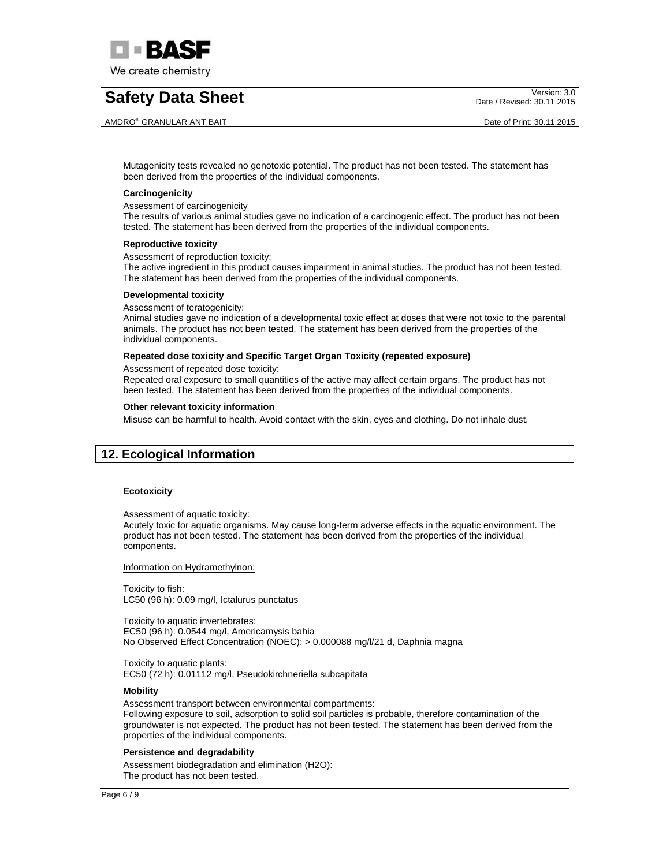

AMDRO® GRANULAR ANT BAIT **Date of Print: 30.11.2015** 

Date / Revised: 30.11.2015

Mutagenicity tests revealed no genotoxic potential. The product has not been tested. The statement has been derived from the properties of the individual components.

#### **Carcinogenicity**

Assessment of carcinogenicity

The results of various animal studies gave no indication of a carcinogenic effect. The product has not been tested. The statement has been derived from the properties of the individual components.

#### **Reproductive toxicity**

Assessment of reproduction toxicity:

The active ingredient in this product causes impairment in animal studies. The product has not been tested. The statement has been derived from the properties of the individual components.

#### **Developmental toxicity**

Assessment of teratogenicity:

Animal studies gave no indication of a developmental toxic effect at doses that were not toxic to the parental animals. The product has not been tested. The statement has been derived from the properties of the individual components.

#### **Repeated dose toxicity and Specific Target Organ Toxicity (repeated exposure)**

Assessment of repeated dose toxicity:

Repeated oral exposure to small quantities of the active may affect certain organs. The product has not been tested. The statement has been derived from the properties of the individual components.

#### **Other relevant toxicity information**

Misuse can be harmful to health. Avoid contact with the skin, eyes and clothing. Do not inhale dust.

## **12. Ecological Information**

#### **Ecotoxicity**

Assessment of aquatic toxicity:

Acutely toxic for aquatic organisms. May cause long-term adverse effects in the aquatic environment. The product has not been tested. The statement has been derived from the properties of the individual components.

Information on Hydramethylnon:

Toxicity to fish: LC50 (96 h): 0.09 mg/l, Ictalurus punctatus

Toxicity to aquatic invertebrates: EC50 (96 h): 0.0544 mg/l, Americamysis bahia No Observed Effect Concentration (NOEC): > 0.000088 mg/l/21 d, Daphnia magna

Toxicity to aquatic plants: EC50 (72 h): 0.01112 mg/l, Pseudokirchneriella subcapitata

#### **Mobility**

Assessment transport between environmental compartments: Following exposure to soil, adsorption to solid soil particles is probable, therefore contamination of the groundwater is not expected. The product has not been tested. The statement has been derived from the properties of the individual components.

#### **Persistence and degradability**

Assessment biodegradation and elimination (H2O): The product has not been tested.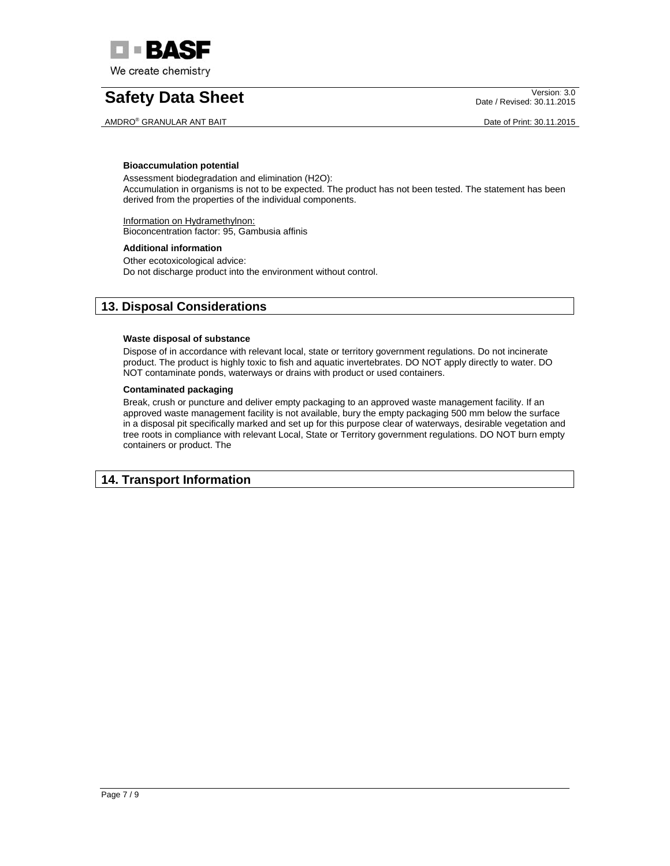

AMDRO® GRANULAR ANT BAIT **Date of Print: 30.11.2015** 

Date / Revised: 30.11.2015

### **Bioaccumulation potential**

Assessment biodegradation and elimination (H2O): Accumulation in organisms is not to be expected. The product has not been tested. The statement has been derived from the properties of the individual components.

Information on Hydramethylnon: Bioconcentration factor: 95, Gambusia affinis

## **Additional information**

Other ecotoxicological advice: Do not discharge product into the environment without control.

## **13. Disposal Considerations**

## **Waste disposal of substance**

Dispose of in accordance with relevant local, state or territory government regulations. Do not incinerate product. The product is highly toxic to fish and aquatic invertebrates. DO NOT apply directly to water. DO NOT contaminate ponds, waterways or drains with product or used containers.

## **Contaminated packaging**

Break, crush or puncture and deliver empty packaging to an approved waste management facility. If an approved waste management facility is not available, bury the empty packaging 500 mm below the surface in a disposal pit specifically marked and set up for this purpose clear of waterways, desirable vegetation and tree roots in compliance with relevant Local, State or Territory government regulations. DO NOT burn empty containers or product. The

## **14. Transport Information**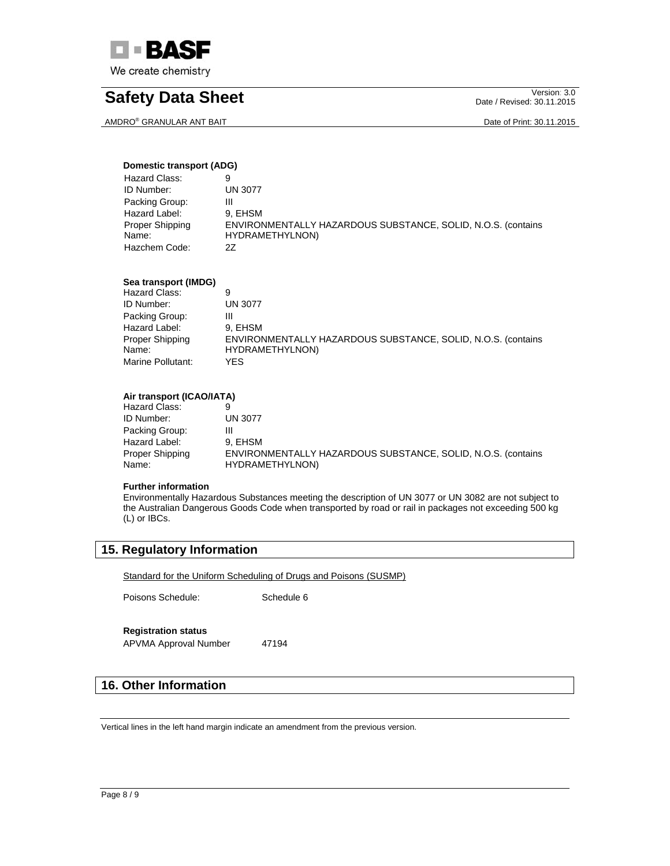

AMDRO® GRANULAR ANT BAIT DATE OF PRINT AND THE ORDER OF PRINT: 30.11.2015

Date / Revised: 30.11.2015

## **Domestic transport (ADG)**

| Hazard Class:   | 9                                                            |
|-----------------|--------------------------------------------------------------|
| ID Number:      | <b>UN 3077</b>                                               |
| Packing Group:  | Ш                                                            |
| Hazard Label:   | 9. EHSM                                                      |
| Proper Shipping | ENVIRONMENTALLY HAZARDOUS SUBSTANCE, SOLID, N.O.S. (contains |
| Name:           | HYDRAMETHYLNON)                                              |
| Hazchem Code:   | 27                                                           |

## **Sea transport (IMDG)**

| Hazard Class:     | 9                                                            |
|-------------------|--------------------------------------------------------------|
| ID Number:        | UN 3077                                                      |
| Packing Group:    | Ш                                                            |
| Hazard Label:     | 9. EHSM                                                      |
| Proper Shipping   | ENVIRONMENTALLY HAZARDOUS SUBSTANCE, SOLID, N.O.S. (contains |
| Name:             | HYDRAMETHYLNON)                                              |
| Marine Pollutant: | YFS                                                          |

## **Air transport (ICAO/IATA)**

| Hazard Class:            |                                                                                  |
|--------------------------|----------------------------------------------------------------------------------|
| ID Number:               | <b>UN 3077</b>                                                                   |
| Packing Group:           | Ш                                                                                |
| Hazard Label:            | 9. EHSM                                                                          |
| Proper Shipping<br>Name: | ENVIRONMENTALLY HAZARDOUS SUBSTANCE, SOLID, N.O.S. (contains)<br>HYDRAMETHYLNON) |
|                          |                                                                                  |

### **Further information**

Environmentally Hazardous Substances meeting the description of UN 3077 or UN 3082 are not subject to the Australian Dangerous Goods Code when transported by road or rail in packages not exceeding 500 kg (L) or IBCs.

# **15. Regulatory Information**

Standard for the Uniform Scheduling of Drugs and Poisons (SUSMP)

Poisons Schedule: Schedule 6

## **Registration status**

APVMA Approval Number 47194

# **16. Other Information**

Vertical lines in the left hand margin indicate an amendment from the previous version.